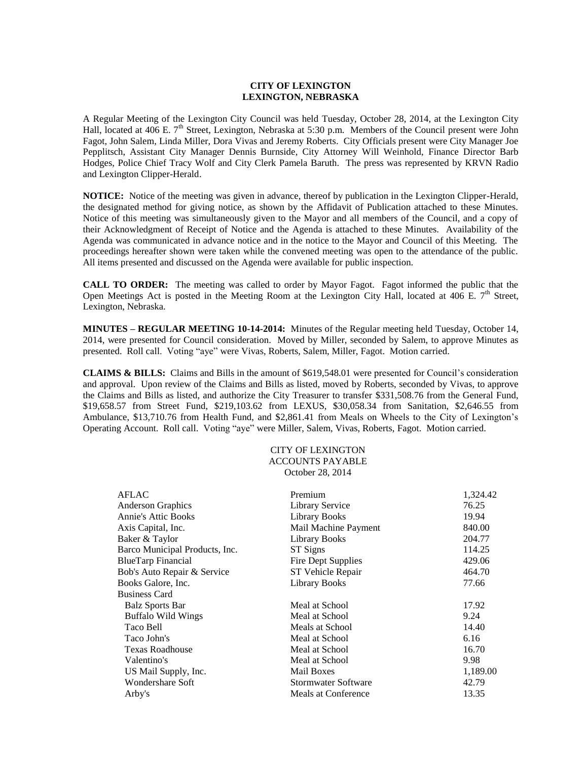## **CITY OF LEXINGTON LEXINGTON, NEBRASKA**

A Regular Meeting of the Lexington City Council was held Tuesday, October 28, 2014, at the Lexington City Hall, located at 406 E.  $7<sup>th</sup>$  Street, Lexington, Nebraska at 5:30 p.m. Members of the Council present were John Fagot, John Salem, Linda Miller, Dora Vivas and Jeremy Roberts. City Officials present were City Manager Joe Pepplitsch, Assistant City Manager Dennis Burnside, City Attorney Will Weinhold, Finance Director Barb Hodges, Police Chief Tracy Wolf and City Clerk Pamela Baruth. The press was represented by KRVN Radio and Lexington Clipper-Herald.

**NOTICE:** Notice of the meeting was given in advance, thereof by publication in the Lexington Clipper-Herald, the designated method for giving notice, as shown by the Affidavit of Publication attached to these Minutes. Notice of this meeting was simultaneously given to the Mayor and all members of the Council, and a copy of their Acknowledgment of Receipt of Notice and the Agenda is attached to these Minutes. Availability of the Agenda was communicated in advance notice and in the notice to the Mayor and Council of this Meeting. The proceedings hereafter shown were taken while the convened meeting was open to the attendance of the public. All items presented and discussed on the Agenda were available for public inspection.

**CALL TO ORDER:** The meeting was called to order by Mayor Fagot. Fagot informed the public that the Open Meetings Act is posted in the Meeting Room at the Lexington City Hall, located at 406 E.  $7<sup>th</sup>$  Street, Lexington, Nebraska.

**MINUTES – REGULAR MEETING 10-14-2014:** Minutes of the Regular meeting held Tuesday, October 14, 2014, were presented for Council consideration. Moved by Miller, seconded by Salem, to approve Minutes as presented. Roll call. Voting "aye" were Vivas, Roberts, Salem, Miller, Fagot. Motion carried.

**CLAIMS & BILLS:** Claims and Bills in the amount of \$619,548.01 were presented for Council's consideration and approval. Upon review of the Claims and Bills as listed, moved by Roberts, seconded by Vivas, to approve the Claims and Bills as listed, and authorize the City Treasurer to transfer \$331,508.76 from the General Fund, \$19,658.57 from Street Fund, \$219,103.62 from LEXUS, \$30,058.34 from Sanitation, \$2,646.55 from Ambulance, \$13,710.76 from Health Fund, and \$2,861.41 from Meals on Wheels to the City of Lexington's Operating Account. Roll call. Voting "aye" were Miller, Salem, Vivas, Roberts, Fagot. Motion carried.

## CITY OF LEXINGTON ACCOUNTS PAYABLE October 28, 2014

| <b>AFLAC</b>                   | Premium                   | 1,324.42 |
|--------------------------------|---------------------------|----------|
| <b>Anderson Graphics</b>       | <b>Library Service</b>    | 76.25    |
| <b>Annie's Attic Books</b>     | Library Books             | 19.94    |
| Axis Capital, Inc.             | Mail Machine Payment      | 840.00   |
| Baker & Taylor                 | Library Books             | 204.77   |
| Barco Municipal Products, Inc. | ST Signs                  | 114.25   |
| <b>BlueTarp Financial</b>      | <b>Fire Dept Supplies</b> | 429.06   |
| Bob's Auto Repair & Service    | ST Vehicle Repair         | 464.70   |
| Books Galore, Inc.             | <b>Library Books</b>      | 77.66    |
| <b>Business Card</b>           |                           |          |
| <b>Balz Sports Bar</b>         | Meal at School            | 17.92    |
| <b>Buffalo Wild Wings</b>      | Meal at School            | 9.24     |
| Taco Bell                      | Meals at School           | 14.40    |
| Taco John's                    | Meal at School            | 6.16     |
| <b>Texas Roadhouse</b>         | Meal at School            | 16.70    |
| Valentino's                    | Meal at School            | 9.98     |
| US Mail Supply, Inc.           | <b>Mail Boxes</b>         | 1,189.00 |
| Wondershare Soft               | Stormwater Software       | 42.79    |
| Arby's                         | Meals at Conference       | 13.35    |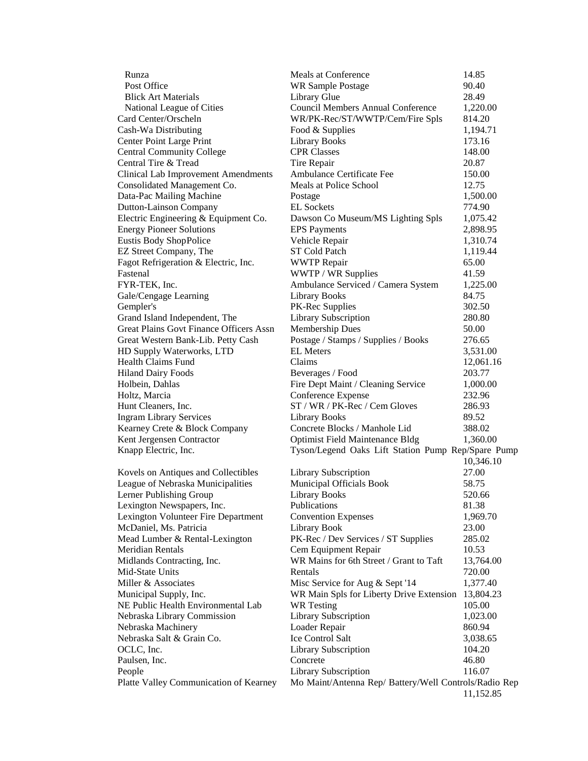| Runza                                          | Meals at Conference                                   | 14.85     |
|------------------------------------------------|-------------------------------------------------------|-----------|
| Post Office                                    | <b>WR Sample Postage</b>                              | 90.40     |
| <b>Blick Art Materials</b>                     | Library Glue                                          | 28.49     |
| National League of Cities                      | <b>Council Members Annual Conference</b>              | 1,220.00  |
| Card Center/Orscheln                           | WR/PK-Rec/ST/WWTP/Cem/Fire Spls                       | 814.20    |
| Cash-Wa Distributing                           | Food & Supplies                                       | 1,194.71  |
| Center Point Large Print                       | <b>Library Books</b>                                  | 173.16    |
| <b>Central Community College</b>               | <b>CPR Classes</b>                                    | 148.00    |
| Central Tire & Tread                           | Tire Repair                                           | 20.87     |
| <b>Clinical Lab Improvement Amendments</b>     | Ambulance Certificate Fee                             | 150.00    |
| Consolidated Management Co.                    | Meals at Police School                                | 12.75     |
| Data-Pac Mailing Machine                       | Postage                                               | 1,500.00  |
| <b>Dutton-Lainson Company</b>                  | <b>EL Sockets</b>                                     | 774.90    |
| Electric Engineering & Equipment Co.           | Dawson Co Museum/MS Lighting Spls                     | 1,075.42  |
| <b>Energy Pioneer Solutions</b>                | <b>EPS</b> Payments                                   | 2,898.95  |
| <b>Eustis Body ShopPolice</b>                  | Vehicle Repair                                        | 1,310.74  |
| EZ Street Company, The                         | <b>ST Cold Patch</b>                                  | 1,119.44  |
| Fagot Refrigeration & Electric, Inc.           | <b>WWTP Repair</b>                                    | 65.00     |
| Fastenal                                       | WWTP / WR Supplies                                    | 41.59     |
| FYR-TEK, Inc.                                  | Ambulance Serviced / Camera System                    | 1,225.00  |
| Gale/Cengage Learning                          | <b>Library Books</b>                                  | 84.75     |
| Gempler's                                      | PK-Rec Supplies                                       | 302.50    |
| Grand Island Independent, The                  | Library Subscription                                  | 280.80    |
| <b>Great Plains Govt Finance Officers Assn</b> | Membership Dues                                       | 50.00     |
| Great Western Bank-Lib. Petty Cash             | Postage / Stamps / Supplies / Books                   | 276.65    |
| HD Supply Waterworks, LTD                      | <b>EL</b> Meters                                      | 3,531.00  |
| Health Claims Fund                             | Claims                                                | 12,061.16 |
| <b>Hiland Dairy Foods</b>                      | Beverages / Food                                      | 203.77    |
| Holbein, Dahlas                                | Fire Dept Maint / Cleaning Service                    | 1,000.00  |
| Holtz, Marcia                                  | Conference Expense                                    | 232.96    |
| Hunt Cleaners, Inc.                            | ST / WR / PK-Rec / Cem Gloves                         | 286.93    |
| <b>Ingram Library Services</b>                 | <b>Library Books</b>                                  | 89.52     |
| Kearney Crete & Block Company                  | Concrete Blocks / Manhole Lid                         | 388.02    |
| Kent Jergensen Contractor                      | <b>Optimist Field Maintenance Bldg</b>                | 1,360.00  |
| Knapp Electric, Inc.                           | Tyson/Legend Oaks Lift Station Pump Rep/Spare Pump    |           |
|                                                |                                                       | 10,346.10 |
| Kovels on Antiques and Collectibles            | Library Subscription                                  | 27.00     |
| League of Nebraska Municipalities              | Municipal Officials Book                              | 58.75     |
| Lerner Publishing Group                        | <b>Library Books</b>                                  | 520.66    |
| Lexington Newspapers, Inc.                     | Publications                                          | 81.38     |
| Lexington Volunteer Fire Department            | <b>Convention Expenses</b>                            | 1,969.70  |
| McDaniel, Ms. Patricia                         | Library Book                                          | 23.00     |
| Mead Lumber & Rental-Lexington                 | PK-Rec / Dev Services / ST Supplies                   | 285.02    |
| Meridian Rentals                               | Cem Equipment Repair                                  | 10.53     |
| Midlands Contracting, Inc.                     | WR Mains for 6th Street / Grant to Taft               | 13,764.00 |
| Mid-State Units                                | Rentals                                               | 720.00    |
| Miller & Associates                            | Misc Service for Aug & Sept '14                       | 1,377.40  |
| Municipal Supply, Inc.                         | WR Main Spls for Liberty Drive Extension              | 13,804.23 |
| NE Public Health Environmental Lab             | <b>WR</b> Testing                                     | 105.00    |
| Nebraska Library Commission                    | Library Subscription                                  | 1,023.00  |
| Nebraska Machinery                             | Loader Repair                                         | 860.94    |
| Nebraska Salt & Grain Co.                      | Ice Control Salt                                      | 3,038.65  |
| OCLC, Inc.                                     | Library Subscription                                  | 104.20    |
| Paulsen, Inc.                                  | Concrete                                              | 46.80     |
| People                                         | Library Subscription                                  | 116.07    |
| Platte Valley Communication of Kearney         | Mo Maint/Antenna Rep/ Battery/Well Controls/Radio Rep |           |
|                                                |                                                       | 11,152.85 |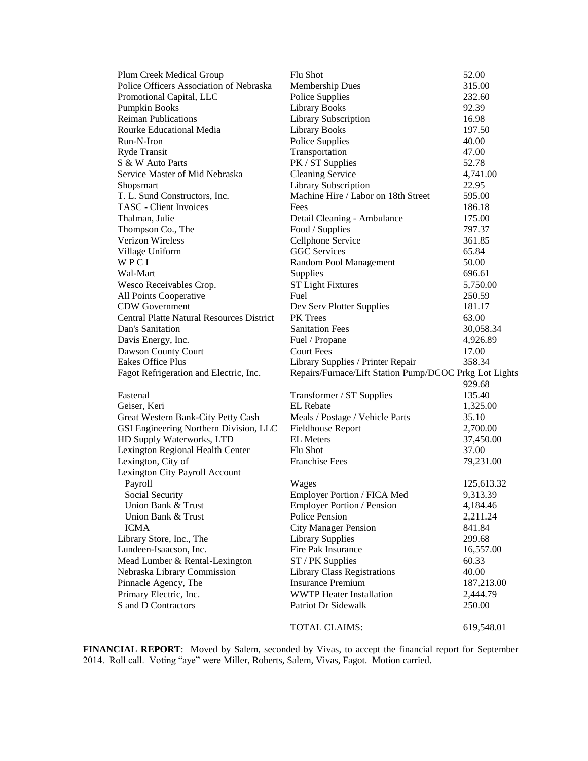| Plum Creek Medical Group                         | Flu Shot                                               | 52.00      |
|--------------------------------------------------|--------------------------------------------------------|------------|
| Police Officers Association of Nebraska          | <b>Membership Dues</b>                                 | 315.00     |
| Promotional Capital, LLC                         | Police Supplies                                        | 232.60     |
| Pumpkin Books                                    | <b>Library Books</b>                                   | 92.39      |
| <b>Reiman Publications</b>                       | <b>Library Subscription</b>                            | 16.98      |
| Rourke Educational Media                         | <b>Library Books</b>                                   | 197.50     |
| Run-N-Iron                                       | Police Supplies                                        | 40.00      |
| Ryde Transit                                     | Transportation                                         | 47.00      |
| S & W Auto Parts                                 | PK / ST Supplies                                       | 52.78      |
| Service Master of Mid Nebraska                   | <b>Cleaning Service</b>                                | 4,741.00   |
| Shopsmart                                        | <b>Library Subscription</b>                            | 22.95      |
| T. L. Sund Constructors, Inc.                    | Machine Hire / Labor on 18th Street                    | 595.00     |
| <b>TASC</b> - Client Invoices                    | Fees                                                   | 186.18     |
| Thalman, Julie                                   | Detail Cleaning - Ambulance                            | 175.00     |
| Thompson Co., The                                | Food / Supplies                                        | 797.37     |
| <b>Verizon Wireless</b>                          | Cellphone Service                                      | 361.85     |
| Village Uniform                                  | <b>GGC</b> Services                                    | 65.84      |
| WPCI                                             | Random Pool Management                                 | 50.00      |
| Wal-Mart                                         |                                                        | 696.61     |
|                                                  | Supplies                                               |            |
| Wesco Receivables Crop.                          | <b>ST Light Fixtures</b><br>Fuel                       | 5,750.00   |
| All Points Cooperative<br><b>CDW</b> Government  |                                                        | 250.59     |
|                                                  | Dev Serv Plotter Supplies<br><b>PK</b> Trees           | 181.17     |
| <b>Central Platte Natural Resources District</b> | <b>Sanitation Fees</b>                                 | 63.00      |
| Dan's Sanitation                                 |                                                        | 30,058.34  |
| Davis Energy, Inc.                               | Fuel / Propane                                         | 4,926.89   |
| Dawson County Court                              | <b>Court Fees</b>                                      | 17.00      |
| Eakes Office Plus                                | Library Supplies / Printer Repair                      | 358.34     |
| Fagot Refrigeration and Electric, Inc.           | Repairs/Furnace/Lift Station Pump/DCOC Prkg Lot Lights |            |
|                                                  |                                                        | 929.68     |
| Fastenal                                         | Transformer / ST Supplies                              | 135.40     |
| Geiser, Keri                                     | <b>EL</b> Rebate                                       | 1,325.00   |
| Great Western Bank-City Petty Cash               | Meals / Postage / Vehicle Parts                        | 35.10      |
| GSI Engineering Northern Division, LLC           | <b>Fieldhouse Report</b>                               | 2,700.00   |
| HD Supply Waterworks, LTD                        | <b>EL</b> Meters                                       | 37,450.00  |
| Lexington Regional Health Center                 | Flu Shot                                               | 37.00      |
| Lexington, City of                               | <b>Franchise Fees</b>                                  | 79,231.00  |
| Lexington City Payroll Account                   |                                                        |            |
| Payroll                                          | Wages                                                  | 125,613.32 |
| Social Security                                  | Employer Portion / FICA Med                            | 9,313.39   |
| Union Bank & Trust                               | <b>Employer Portion / Pension</b>                      | 4,184.46   |
| Union Bank & Trust                               | Police Pension                                         | 2,211.24   |
| <b>ICMA</b>                                      | <b>City Manager Pension</b>                            | 841.84     |
| Library Store, Inc., The                         | <b>Library Supplies</b>                                | 299.68     |
| Lundeen-Isaacson, Inc.                           | Fire Pak Insurance                                     | 16,557.00  |
| Mead Lumber & Rental-Lexington                   | ST / PK Supplies                                       | 60.33      |
| Nebraska Library Commission                      | <b>Library Class Registrations</b>                     | 40.00      |
| Pinnacle Agency, The                             | <b>Insurance Premium</b>                               | 187,213.00 |
| Primary Electric, Inc.                           | <b>WWTP Heater Installation</b>                        | 2,444.79   |
| S and D Contractors                              | Patriot Dr Sidewalk                                    | 250.00     |
|                                                  | TOTAL CLAIMS:                                          | 619,548.01 |

**FINANCIAL REPORT**: Moved by Salem, seconded by Vivas, to accept the financial report for September 2014. Roll call. Voting "aye" were Miller, Roberts, Salem, Vivas, Fagot. Motion carried.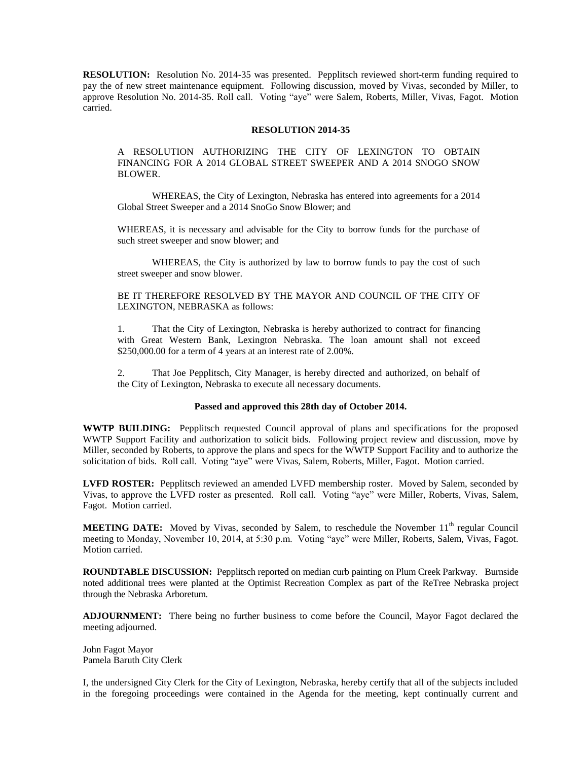**RESOLUTION:** Resolution No. 2014-35 was presented. Pepplitsch reviewed short-term funding required to pay the of new street maintenance equipment. Following discussion, moved by Vivas, seconded by Miller, to approve Resolution No. 2014-35. Roll call. Voting "aye" were Salem, Roberts, Miller, Vivas, Fagot. Motion carried.

## **RESOLUTION 2014-35**

A RESOLUTION AUTHORIZING THE CITY OF LEXINGTON TO OBTAIN FINANCING FOR A 2014 GLOBAL STREET SWEEPER AND A 2014 SNOGO SNOW BLOWER.

WHEREAS, the City of Lexington, Nebraska has entered into agreements for a 2014 Global Street Sweeper and a 2014 SnoGo Snow Blower; and

WHEREAS, it is necessary and advisable for the City to borrow funds for the purchase of such street sweeper and snow blower; and

WHEREAS, the City is authorized by law to borrow funds to pay the cost of such street sweeper and snow blower.

BE IT THEREFORE RESOLVED BY THE MAYOR AND COUNCIL OF THE CITY OF LEXINGTON, NEBRASKA as follows:

1. That the City of Lexington, Nebraska is hereby authorized to contract for financing with Great Western Bank, Lexington Nebraska. The loan amount shall not exceed \$250,000.00 for a term of 4 years at an interest rate of 2.00%.

2. That Joe Pepplitsch, City Manager, is hereby directed and authorized, on behalf of the City of Lexington, Nebraska to execute all necessary documents.

## **Passed and approved this 28th day of October 2014.**

**WWTP BUILDING:** Pepplitsch requested Council approval of plans and specifications for the proposed WWTP Support Facility and authorization to solicit bids. Following project review and discussion, move by Miller, seconded by Roberts, to approve the plans and specs for the WWTP Support Facility and to authorize the solicitation of bids. Roll call. Voting "aye" were Vivas, Salem, Roberts, Miller, Fagot. Motion carried.

**LVFD ROSTER:** Pepplitsch reviewed an amended LVFD membership roster. Moved by Salem, seconded by Vivas, to approve the LVFD roster as presented. Roll call. Voting "aye" were Miller, Roberts, Vivas, Salem, Fagot. Motion carried.

**MEETING DATE:** Moved by Vivas, seconded by Salem, to reschedule the November 11<sup>th</sup> regular Council meeting to Monday, November 10, 2014, at 5:30 p.m. Voting "aye" were Miller, Roberts, Salem, Vivas, Fagot. Motion carried.

**ROUNDTABLE DISCUSSION:** Pepplitsch reported on median curb painting on Plum Creek Parkway. Burnside noted additional trees were planted at the Optimist Recreation Complex as part of the ReTree Nebraska project through the Nebraska Arboretum.

**ADJOURNMENT:** There being no further business to come before the Council, Mayor Fagot declared the meeting adjourned.

John Fagot Mayor Pamela Baruth City Clerk

I, the undersigned City Clerk for the City of Lexington, Nebraska, hereby certify that all of the subjects included in the foregoing proceedings were contained in the Agenda for the meeting, kept continually current and